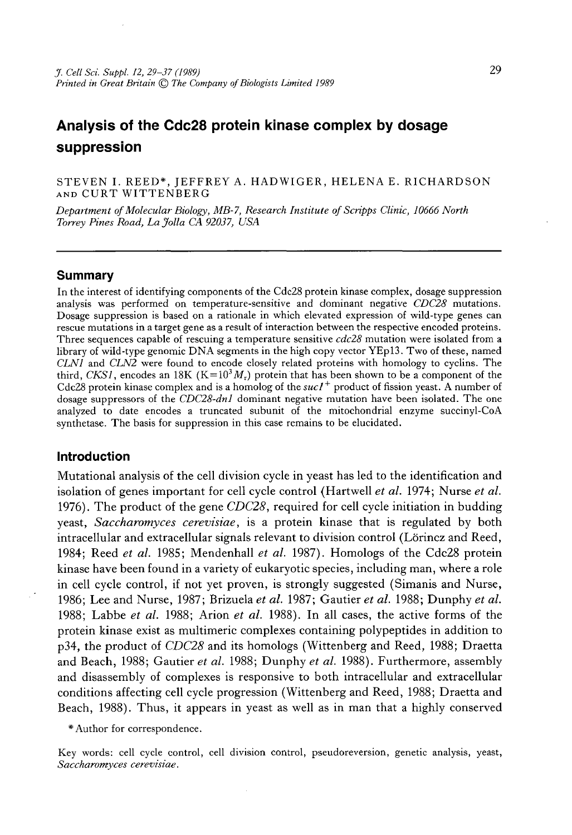STEVEN I. REED\*, JEFFREY A. HADWIGER, HELENA E. RICHARDSON AND CURT WITTENBERG

*Department of Molecular Biology, MB-7, Research Institute of Scripps Clinic, 10666 North Torrey Pines Road, La Jolla CA 92037, USA*

#### **Summary**

In the interest of identifying components of the Cdc28 protein kinase complex, dosage suppression analysis was performed on temperature-sensitive and dominant negative *CDC28* mutations. Dosage suppression is based on a rationale in which elevated expression of wild-type genes can rescue mutations in a target gene as a result of interaction between the respective encoded proteins. Three sequences capable of rescuing a temperature sensitive *cdc28* mutation were isolated from a library of wild-type genomic DNA segments in the high copy vector YEpl3. Two of these, named *CLN1* and *CLN2* were found to encode closely related proteins with homology to cyclins. The third, *CKS1*, encodes an 18K ( $K=10<sup>3</sup>M<sub>r</sub>$ ) protein that has been shown to be a component of the Cdc28 protein kinase complex and is a homolog of the *sucl+* product of fission yeast. A number of dosage suppressors of the *CDC28-dnl* dominant negative mutation have been isolated. The one analyzed to date encodes a truncated subunit of the mitochondrial enzyme succinyl-CoA synthetase. The basis for suppression in this case remains to be elucidated.

### **Introduction**

Mutational analysis of the cell division cycle in yeast has led to the identification and isolation of genes important for cell cycle control (Hartwell *et al.* 1974; Nurse *et al.* 1976). The product of the gene *CDC28,* required for cell cycle initiation in budding yeast, *Saccharomyces cerevisiae,* is a protein kinase that is regulated by both intracellular and extracellular signals relevant to division control (Lörincz and Reed, 1984; Reed *et al.* 1985; Mendenhall *et al.* 1987). Homologs of the Cdc28 protein kinase have been found in a variety of eukaryotic species, including man, where a role in cell cycle control, if not yet proven, is strongly suggested (Simanis and Nurse, 1986; Lee and Nurse, 1987; Brizuela *et al.* 1987; Gautier *et al.* 1988; Dunphy *et al.* 1988; Labbe *et al.* 1988; Arion *et al.* 1988). In all cases, the active forms of the protein kinase exist as multimeric complexes containing polypeptides in addition to p34, the product of *CDC28* and its homologs (Wittenberg and Reed, 1988; Draetta and Beach, 1988; Gautier *et al.* 1988; Dunphy *et al.* 1988). Furthermore, assembly and disassembly of complexes is responsive to both intracellular and extracellular conditions affecting cell cycle progression (Wittenberg and Reed, 1988; Draetta and Beach, 1988). Thus, it appears in yeast as well as in man that a highly conserved

\* Author for correspondence.

Key words: cell cycle control, cell division control, pseudoreversion, genetic analysis, yeast, *Saccharomyces cerevisiae.*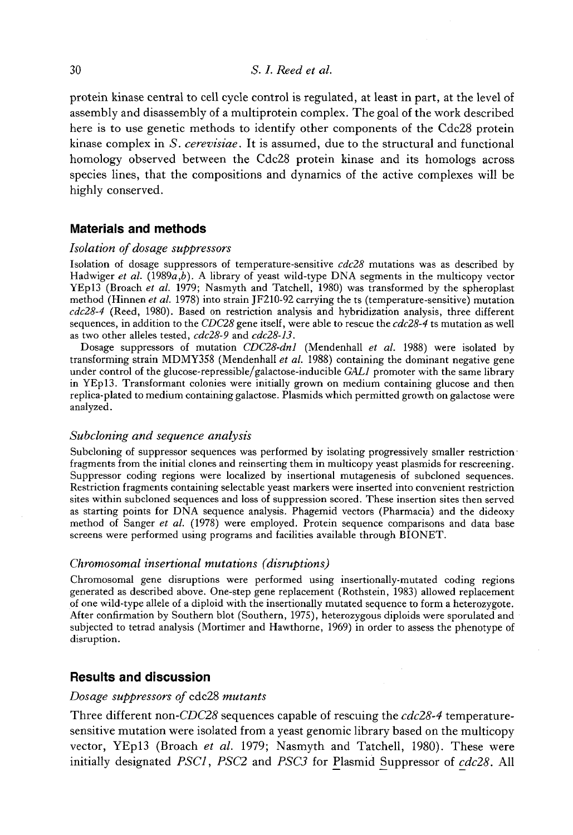protein kinase central to cell cycle control is regulated, at least in part, at the level of assembly and disassembly of a multiprotein complex. The goal of the work described here is to use genetic methods to identify other components of the Cdc28 protein kinase complex in *S. cerevisiae.* It is assumed, due to the structural and functional homology observed between the Cdc28 protein kinase and its homologs across species lines, that the compositions and dynamics of the active complexes will be highly conserved.

# **Materials and methods**

### *Isolation of dosage suppressors*

Isolation of dosage suppressors of temperature-sensitive *cdc28* mutations was as described by Hadwiger *et al.* (1989a,*b).* A library of yeast wild-type DNA segments in the multicopy vector YEpl3 (Broach *et al.* 1979; Nasmyth and Tatchell, 1980) was transformed by the spheroplast method (Hinnen *et al.* 1978) into strain JF210-92 carrying the ts (temperature-sensitive) mutation *cdc28-4* (Reed, 1980). Based on restriction analysis and hybridization analysis, three different sequences, in addition to the *CDC28* gene itself, were able to rescue the *cdc28-4* ts mutation as well as two other alleles tested, *cdc28-9* and *cdc28-13.*

Dosage suppressors of mutation *CDC28-dnl* (Mendenhall *et al.* 1988) were isolated by transforming strain MDMY358 (Mendenhall *et al.* 1988) containing the dominant negative gene under control of the glucose-repressible/galactose-inducible *GAL1* promoter with the same library in YEpl3. Transformant colonies were initially grown on medium containing glucose and then replica-plated to medium containing galactose. Plasmids which permitted growth on galactose were analyzed.

### *Subcloning and sequence analysis*

Subcloning of suppressor sequences was performed by isolating progressively smaller restriction fragments from the initial clones and reinserting them in multicopy yeast plasmids for rescreening. Suppressor coding regions were localized by insertional mutagenesis of subcloned sequences. Restriction fragments containing selectable yeast markers were inserted into convenient restriction sites within subcloned sequences and loss of suppression scored. These insertion sites then served as starting points for DNA sequence analysis. Phagemid vectors (Pharmacia) and the dideoxy method of Sanger *et al.* (1978) were employed. Protein sequence comparisons and data base screens were performed using programs and facilities available through BIONET.

# *Chromosomal insertional mutations (disruptions)*

Chromosomal gene disruptions were performed using insertionally-mutated coding regions generated as described above. One-step gene replacement (Rothstein, 1983) allowed replacement of one wild-type allele of a diploid with the insertionally mutated sequence to form a heterozygote. After confirmation by Southern blot (Southern, 1975), heterozygous diploids were sporulated and subjected to tetrad analysis (Mortimer and Hawthorne, 1969) in order to assess the phenotype of disruption.

# **Results and discussion**

#### *Dosage suppressors of* cdc28 *mutants*

Three different non*-CDC28* sequences capable of rescuing the *cdc28-4* temperaturesensitive mutation were isolated from a yeast genomic library based on the multicopy vector, YEpl3 (Broach *et al.* 1979; Nasmyth and Tatchell, 1980). These were initially designated *PSC1*, *PSC2* and *PSC3* for Plasmid Suppressor of *cdc28.* All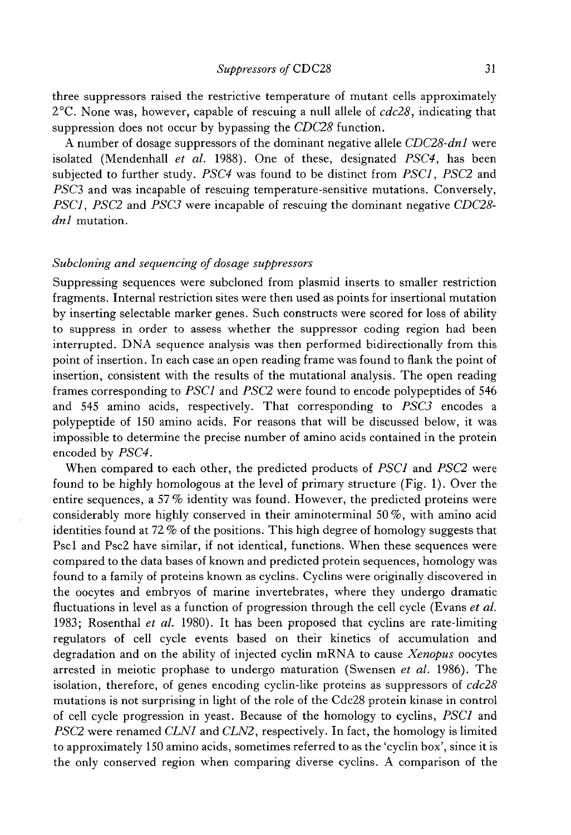three suppressors raised the restrictive temperature of mutant cells approximately 2°C. None was, however, capable of rescuing a null allele of *cdc28,* indicating that suppression does not occur by bypassing the *CDC28* function.

A number of dosage suppressors of the dominant negative allele *CDC28-dnl* were isolated (Mendenhall *et al.* 1988). One of these, designated *PSC4,* has been subjected to further study. *PSC4* was found to be distinct from *PSC1*, *PSC2* and *PSC3* and was incapable of rescuing temperature-sensitive mutations. Conversely, *PSC1*, *PSC2* and *PSC3* were incapable of rescuing the dominant negative *CDC28 dnl* mutation.

# *Subcloning and sequencing of dosage suppressors*

Suppressing sequences were subcloned from plasmid inserts to smaller restriction fragments. Internal restriction sites were then used as points for insertional mutation by inserting selectable marker genes. Such constructs were scored for loss of ability to suppress in order to assess whether the suppressor coding region had been interrupted. DNA sequence analysis was then performed bidirectionally from this point of insertion. In each case an open reading frame was found to flank the point of insertion, consistent with the results of the mutational analysis. The open reading frames corresponding to *PSC1* and *PSC2* were found to encode polypeptides of 546 and 545 amino acids, respectively. That corresponding to *PSC3* encodes a polypeptide of 150 amino acids. For reasons that will be discussed below, it was impossible to determine the precise number of amino acids contained in the protein encoded by *PSC4.*

When compared to each other, the predicted products of *PSC1* and *PSC2* were found to be highly homologous at the level of primary structure (Fig. 1). Over the entire sequences, a 57 % identity was found. However, the predicted proteins were considerably more highly conserved in their amino terminal 50%, with amino acid identities found at 72 *%* of the positions. This high degree of homology suggests that Pscl and Psc2 have similar, if not identical, functions. When these sequences were compared to the data bases of known and predicted protein sequences, homology was found to a family of proteins known as cyclins. Cyclins were originally discovered in the oocytes and embryos of marine invertebrates, where they undergo dramatic fluctuations in level as a function of progression through the cell cycle (Evans *et al.* 1983; Rosenthal *et al.* 1980). It has been proposed that cyclins are rate-limiting regulators of cell cycle events based on their kinetics of accumulation and degradation and on the ability of injected cyclin mRNA to cause *Xenopus* oocytes arrested in meiotic prophase to undergo maturation (Swensen *et al.* 1986). The isolation, therefore, of genes encoding cyclin-like proteins as suppressors of *cdc28* mutations is not surprising in light of the role of the Cdc28 protein kinase in control of cell cycle progression in yeast. Because of the homology to cyclins, *PSC1* and *PSC2* were renamed *CLN1* and *CLN2,* respectively. In fact, the homology is limited to approximately 150 amino acids, sometimes referred to as the 'cyclin box', since it is the only conserved region when comparing diverse cyclins. A comparison of the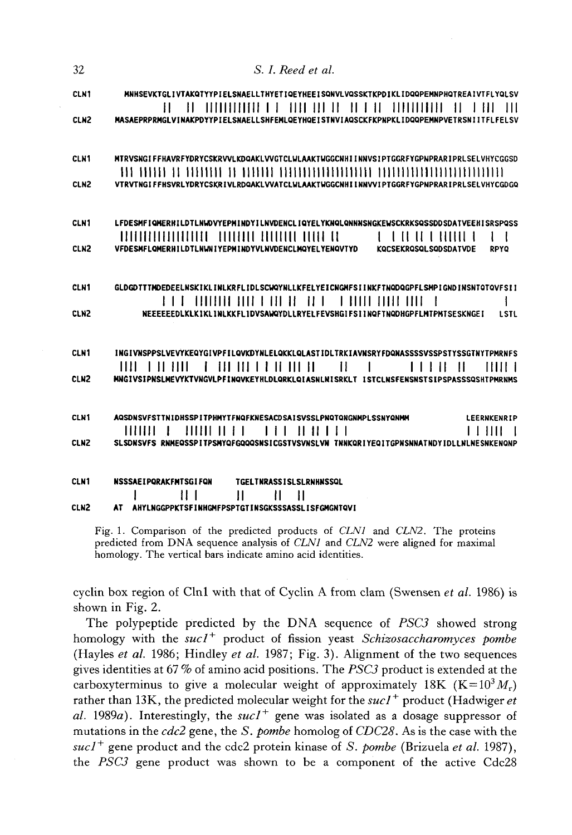| 32               | S. I. Reed et al.                                                                                                                                                                                                                                                                                                                 |
|------------------|-----------------------------------------------------------------------------------------------------------------------------------------------------------------------------------------------------------------------------------------------------------------------------------------------------------------------------------|
| <b>CLN1</b>      | MNHSEVKTGLIVTAKQTYYPIELSNAELLTHYETIQEYHEEISQNVLVQSSKTKPDIKLIDQQPEMNPHQTREAIVTFLYQLSV<br><u> A L'ANNIN ANN AN 1989 AN 1989 AN 1989 AN 1989 AN 1989 AN 1989 AN 1989 AN 1989 AN 1989 AN 1989 AN 1989 AN 1989 AN 1989 AN 1989 AN 1989 AN 1989 AN 1989 AN 1989 AN 1989 AN 1989 AN 1989 AN 1989 AN 1989 AN 1989 AN 1989 AN 198</u><br>Ħ |
| CLN <sub>2</sub> | MASAEPRPRMGLVINAKPDYYPIELSNAELLSHFEMLQEYHQEISTNVIAQSCKFKPNPKLIDQQPEMNPVETRSNIITFLFELSV                                                                                                                                                                                                                                            |
| CLN1             | MTRVSNGIFFHAVRFYDRYCSKRVVLKDQAKLVVGTCLWLAAKTWGGCNHIINNVSIPTGGRFYGPNPRARIPRLSELVHYCGGSD                                                                                                                                                                                                                                            |
| CLN <sub>2</sub> | VTRVTNGIFFHSVRLYDRYCSKRIVLRDQAKLVVATCLWLAAKTWGGCNHIINNVVIPTGGRFYGPNPRARIPRLSELVHYCGDGQ                                                                                                                                                                                                                                            |
| CLN1             | LFDESMFIQMERHILDTLNWDVYEPMINDYILNVDENCLIQYELYKNQLQNNNSNGKEWSCKRKSQSSDDSDATVEEHISRSPQSS                                                                                                                                                                                                                                            |
| CLN <sub>2</sub> | TO OTHER TELEVISION OF THE CONTRACTOR CONTRACTOR CONTRACTOR CONTRACTOR CONTRACTOR CONTRACTOR CONTRACTOR CONTRACTOR<br>$\mathbf{I}$ and $\mathbf{I}$ and $\mathbf{I}$ and $\mathbf{I}$<br>1 I<br>VFDESMFLQMERHILDTLNWNIYEPMINDYVLNVDENCLMQYELYENQVTYD KQCSEKRQSQLSQDSDATVDE<br><b>RPYQ</b>                                         |
| CLN1             | GLDGDTTTMDEDEELNSKIKLINLKRFLIDLSCWQYNLLKFELYEICNGMFSIINKFTNQDQGPFLSMPIGNDINSNTQTQVFSII                                                                                                                                                                                                                                            |
| <b>CLN2</b>      | ł<br>NEEEEEEDLKLKIKLINLKKFLIDVSAWQYDLLRYELFEVSHGIFSIINQFTNQDHGPFLMTPMTSESKNGEI<br><b>LSTL</b>                                                                                                                                                                                                                                     |
| CLN1             | INGIVNSPPSLVEVYKEQYGIVPFILQVKDYNLELQKKLQLASTIDLTRKIAVNSRYFDQNASSSSVSSPSTYSSGTNYTPMRNFS                                                                                                                                                                                                                                            |
| CLN <sub>2</sub> | 11111 H<br>THIL 1<br>MNGIVSIPNSLMEVYKTVNGVLPFINQVKEYHLDLQRKLQIASNLNISRKLT ISTCLNSFENSNSTSIPSPASSSQSHTPMRNMS                                                                                                                                                                                                                       |
| CLN1             | AQSDNSVFSTTNIDHSSPITPHMYTFNQFKNESACDSAISVSSLPNQTQNGNMPLSSNYQNMM<br><b>LEERNKENRIP</b>                                                                                                                                                                                                                                             |
| CLN <sub>2</sub> | 1111111<br>SLSDNSVFS RNMEQSSPITPSMYQFGQQQSNSICGSTVSVNSLVN TNNKQRIYEQITGPNSNNATNDYIDLLNLNESNKENQNP                                                                                                                                                                                                                                 |
| <b>CLN1</b>      | <b>NSSSAEIPORAKFMTSGIFON</b><br><b>TGELTNRASSISLSLRNHNSSQL</b><br>$\mathbf{H}$                                                                                                                                                                                                                                                    |
| CLN <sub>2</sub> | 11 I<br>П<br>- 11<br>AT AHYLNGGPPKTSFINHGMFPSPTGTINSGKSSSASSLISFGMGNTQVI                                                                                                                                                                                                                                                          |

Fig. 1. Comparison of the predicted products of CLN1 and CLN2. The proteins predicted from DNA sequence analysis of CLNI and CLN2 were aligned for maximal homology. The vertical bars indicate amino acid identities.

cyclin box region of Cln1 with that of Cyclin A from clam (Swensen et al. 1986) is shown in Fig. 2.

The polypeptide predicted by the DNA sequence of *PSC3* showed strong homology with the  $suc1<sup>+</sup>$  product of fission yeast *Schizosaccharomyces* pombe (Hayles et al. 1986; Hindley et al. 1987; Fig. 3). Alignment of the two sequences gives identities at 67% of amino acid positions. The PSC3 product is extended at the carboxyterminus to give a molecular weight of approximately 18K ( $K = 10<sup>3</sup>M_r$ ) rather than 13K, the predicted molecular weight for the  $suc1^+$  product (Hadwiger et al. 1989a). Interestingly, the sucl<sup>+</sup> gene was isolated as a dosage suppressor of mutations in the  $cdc2$  gene, the S. pombe homolog of CDC28. As is the case with the  $suc1<sup>+</sup>$  gene product and the cdc2 protein kinase of S. pombe (Brizuela et al. 1987), the PSC3 gene product was shown to be a component of the active Cdc28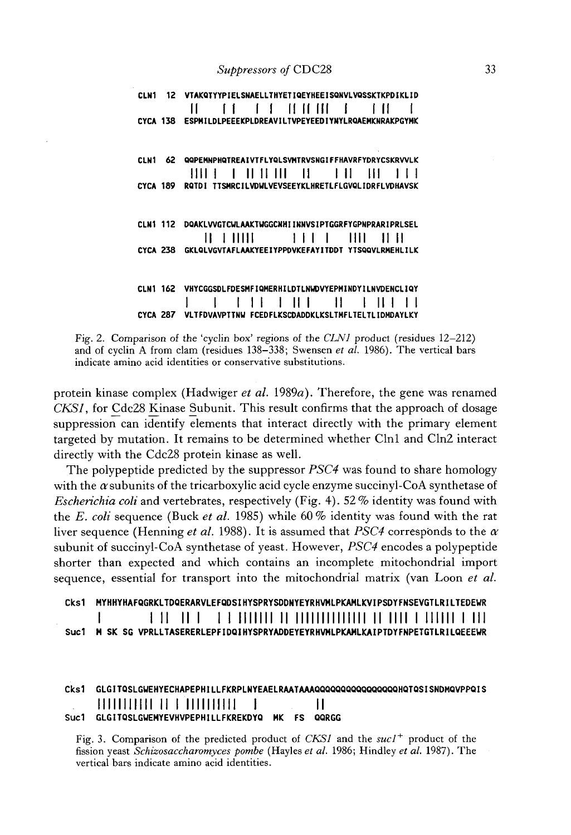|          | 12 VTAKQTYYPIELSNAELLTHYETIQEYHEEISQNVLVQSSKTKPDIKLID                                                                                                                                                                                                                                                                                                                                                                                                                                                     |
|----------|-----------------------------------------------------------------------------------------------------------------------------------------------------------------------------------------------------------------------------------------------------------------------------------------------------------------------------------------------------------------------------------------------------------------------------------------------------------------------------------------------------------|
|          |                                                                                                                                                                                                                                                                                                                                                                                                                                                                                                           |
|          | CYCA 138 ESPMILDLPEEEKPLDREAVILTVPEYEEDIYNYLRQAEMKNRAKPGYMK                                                                                                                                                                                                                                                                                                                                                                                                                                               |
|          |                                                                                                                                                                                                                                                                                                                                                                                                                                                                                                           |
| CI N1    | <b>QQPEMNPHOTREAIVTFLYQLSVMTRVSNGIFFHAVRFYDRYCSKRVVLK</b>                                                                                                                                                                                                                                                                                                                                                                                                                                                 |
|          | $\begin{tabular}{c} H \small I \end{tabular} \begin{tabular}{c} \multicolumn{2}{c}{{\color{blue} \textbf{1}}}\\ \multicolumn{2}{c}{{\color{blue} \textbf{1}}}\\ \multicolumn{2}{c}{{\color{blue} \textbf{1}}}\\ \multicolumn{2}{c}{{\color{blue} \textbf{1}}}\\ \multicolumn{2}{c}{{\color{blue} \textbf{1}}}\\ \multicolumn{2}{c}{{\color{blue} \textbf{1}}}\\ \multicolumn{2}{c}{{\color{blue} \textbf{1}}}\\ \multicolumn{2}{c}{{\color{blue} \textbf{1}}}\\ \multicolumn{2}{c}{{\color{blue} \textbf$ |
|          | CYCA 189 RQTDI TISMRCILVDWLVEVSEEYKLHRETLFLGVQLIDRFLVDHAVSK                                                                                                                                                                                                                                                                                                                                                                                                                                               |
|          |                                                                                                                                                                                                                                                                                                                                                                                                                                                                                                           |
| CLN1 112 | DQAKLVVGTCWLAAKTWGGCNHIINNVSIPTGGRFYGPNPRARIPRLSEL                                                                                                                                                                                                                                                                                                                                                                                                                                                        |
|          | CYCA 238 GKLQLVGVTAFLAAKYEEIYPPDVKEFAYITDDT YTSQQVLRMEHLILK                                                                                                                                                                                                                                                                                                                                                                                                                                               |
|          |                                                                                                                                                                                                                                                                                                                                                                                                                                                                                                           |
|          | CLN1 162 VHYCGGSDLFDESMFIQMERHILDTLNWDVYEPMINDYILNVDENCLIQY                                                                                                                                                                                                                                                                                                                                                                                                                                               |
|          |                                                                                                                                                                                                                                                                                                                                                                                                                                                                                                           |
|          | CYCA 287 VLTFDVAVPTTNW FCEDFLKSCDADDKLKSLTMFLTELTLIDMDAYLKY                                                                                                                                                                                                                                                                                                                                                                                                                                               |

Fig. 2. Comparison of the 'cyclin box' regions of the *CLN1* product (residues 12-212) and of cyclin A from clam (residues 138-338; Swensen *et al.* 1986). The vertical bars indicate amino acid identities or conservative substitutions.

protein kinase complex (Hadwiger *et al.* 1989a). Therefore, the gene was renamed *CKS1,* for Cdc28 Kinase Subunit. This result confirms that the approach of dosage suppression can identify elements that interact directly with the primary element targeted by mutation. It remains to be determined whether Clnl and Cln2 interact directly with the Cdc28 protein kinase as well.

The polypeptide predicted by the suppressor *PSC4* was found to share homology with the  $\alpha$  subunits of the tricarboxylic acid cycle enzyme succinyl-CoA synthetase of *Escherichia coli* and vertebrates, respectively (Fig. 4). 52 % identity was found with the *E. coli* sequence (Buck *et al.* 1985) while 60% identity was found with the rat liver sequence (Henning *et al.* 1988). It is assumed that *PSC4* corresponds to the *a* subunit of succinyl-CoA synthetase of yeast. However, *PSC4* encodes a polypeptide shorter than expected and which contains an incomplete mitochondrial import sequence, essential for transport into the mitochondrial matrix (van Loon *et al.*

Cks1 MYHHYHAFQGRKLTDQERARVLEFQDSIHYSPRYSDDNYEYRHVMLPKAMLKVIPSDYFNSEVGTLRILTEDEWR **i i ii ii i 1 1 mi n i ii i i i i i i i i i i i ni n mi i mu i i** mi Suc1 H SK SG VPRLLTASERERLEPFIDQIHYSPRYADDEYEYRHVMLPKAMLKAIPTDYFNPETGTLRILQEEEWR

# Cks1 GLGITQSLGWEHYECHAPEPHILLFKRPLNYEAELRAATAAAQQQQQQQQQQQQQQQQHQTQSISNDMQVPPQIS lllllllllll II I llllllllll I II Suc1 GLGITQSLGWEMYEVHVPEPH1LLFKREKDYQ MK FS QQRGG

Fig. 3. Comparison of the predicted product of *CKS1* and the *sucl+* product of the fission yeast *Schizosaccharomyces pombe* (Hayles *et al.* 1986; Hindley *et al.* 1987). The vertical bars indicate amino acid identities.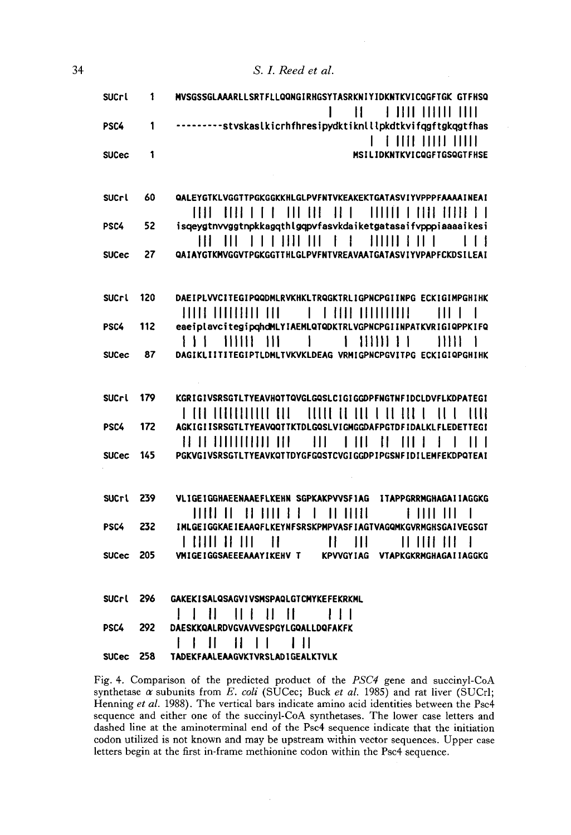| <b>SUCrl</b> | 1  | MVSGSSGLAAARLLSRTFLLQQNGIRHGSYTASRKNIYIDKNTKVICQGFTGK GTFHSQ                                                                                                                                                                                                                                                                                                                                                     |
|--------------|----|------------------------------------------------------------------------------------------------------------------------------------------------------------------------------------------------------------------------------------------------------------------------------------------------------------------------------------------------------------------------------------------------------------------|
| PSC4         |    | <b>1 1111 11111 1111</b><br>Н<br>---------styskaslkicrhfhresipydktiknlllpkdtkvifqgftgkqgtfhas                                                                                                                                                                                                                                                                                                                    |
| <b>SUCec</b> |    | <br>MSILIDKNTKVICQGFTGSQGTFHSE                                                                                                                                                                                                                                                                                                                                                                                   |
|              |    |                                                                                                                                                                                                                                                                                                                                                                                                                  |
| <b>SUCrl</b> | 60 | QALEYGTKLVGGTTPGKGGKKHLGLPVFNTVKEAKEKTGATASVIYVPPPFAAAAINEAI<br>TEET   ETER   T. F.   T.   ETER   E. F.   T.   T.   T.   T.   T.   ETER   E.   T                                                                                                                                                                                                                                                                 |
| PSC4         | 52 | isqeygtnvvggtnpkkagqthlgqpvfasvkdaiketgatasaifvpppiaaaaikesi                                                                                                                                                                                                                                                                                                                                                     |
|              |    | $\begin{array}{cccccccccccccc} \text{H1} & \text{H1} & \text{H1} & \text{H1} & \text{H1} & \text{H1} & \text{H1} & \text{H1} & \text{H1} & \text{H1} & \text{H1} & \text{H1} & \text{H1} & \text{H1} & \text{H1} & \text{H1} & \text{H1} & \text{H1} & \text{H1} & \text{H1} & \text{H1} & \text{H1} & \text{H1} & \text{H1} & \text{H1} & \text{H1} & \text{H1} & \text{H1} & \text{H1} & \text{H1} &$<br>1 I J |
| <b>SUCec</b> | 27 | QAIAYGTKMVGGVTPGKGGTTHLGLPVFNTVREAVAATGATASVIYVPAPFCKDSILEAI                                                                                                                                                                                                                                                                                                                                                     |
| $0.10 - 1$   |    | RAFTRI \RICTTFCTRAARNI B\IVIIVI TRAGVTRI TARNGRATTNRG                                                                                                                                                                                                                                                                                                                                                            |

| סאו ובט |        | UACIPLYVGIICUIPWWUMLKYKMALIKWUKIKLIUPNGPUIINPU CGKIUIMPUNINK |  |
|---------|--------|--------------------------------------------------------------|--|
|         |        |                                                              |  |
| PSC4.   | $-112$ | eaeiplavcitegipghdMLYIAEMLQTQDKTRLVGPNCPGIINPATKVRIGIQPPKIFQ |  |
|         |        |                                                              |  |
| SUCec   | 87     | DAGIKLIITITEGIPTLDMLTVKVKLDEAG VRMIGPNCPGVITPG ECKIGIQPGHIHK |  |

S. I. Reed et al.

| <b>SUCrl</b> | 179 | KGRIGIVSRSGTLTYEAVHQTTQVGLGQSLCIGIGGDPFNGTNFIDCLDVFLKDPATEGI             |
|--------------|-----|--------------------------------------------------------------------------|
|              |     | T TO THEORIAL QUE TITLE OF LUTTER I TELL TITLE TITLE                     |
| PSC4         | 172 | AGKIGIISRSGTLTYEAVQQTTKTDLGQSLVIGMGGDAFPGTDFIDALKLFLEDETTEGI             |
|              |     | HE IT HITTITIHE TITLE - HIT - T TITLE TITLE TITLE - T - T - T T T        |
| SUCec        | 145 | PGKVGIVSRSGTLTYEAVKQTTDYGFGQSTCVGIGGDPIPGSNFIDILEMFEKDPQTEAI             |
|              |     |                                                                          |
| <b>SUCri</b> | 239 | VLIGEIGGHAEENAAEFLKEHN SGPKAKPVVSFIAG ITAPPGRRMGHAGAIIAGGKG              |
|              |     |                                                                          |
| PSC4         | 232 | I ML GE I GGKAE I EAAQFL KEYNFSRSKPMPVASF I AGT VAGQMKGVRMGHSGA I VEGSGT |
|              |     |                                                                          |
| <b>SUCec</b> | 205 | VMIGEIGGSAEEEAAAYIKEHV T KPVVGYIAG VTAPKGKRMGHAGAIIAGGKG                 |

| SUCrl 296 |       | <b>GAKEKI SALQSAGVI VSMSPAQLGTCMYKEFEKRKML</b> |
|-----------|-------|------------------------------------------------|
|           |       |                                                |
| PSC4      | - 292 | DAESKKQALRDVGVAVVESPGYLGQALLDQFAKFK            |
|           |       |                                                |
| SUCec 258 |       | TADEKFAALEAAGVKTVRSLADIGEALKTVLK               |

Fig. 4. Comparison of the predicted product of the PSC4 gene and succinyl-CoA synthetase  $\alpha$  subunits from E. coli (SUCec; Buck et al. 1985) and rat liver (SUCrl; Henning et al. 1988). The vertical bars indicate amino acid identities between the Psc4 sequence and either one of the succinyl-CoA synthetases. The lower case letters and dashed line at the aminoterminal end of the Psc4 sequence indicate that the initiation codon utilized is not known and may be upstream within vector sequences. Upper case letters begin at the first in-frame methionine codon within the Psc4 sequence.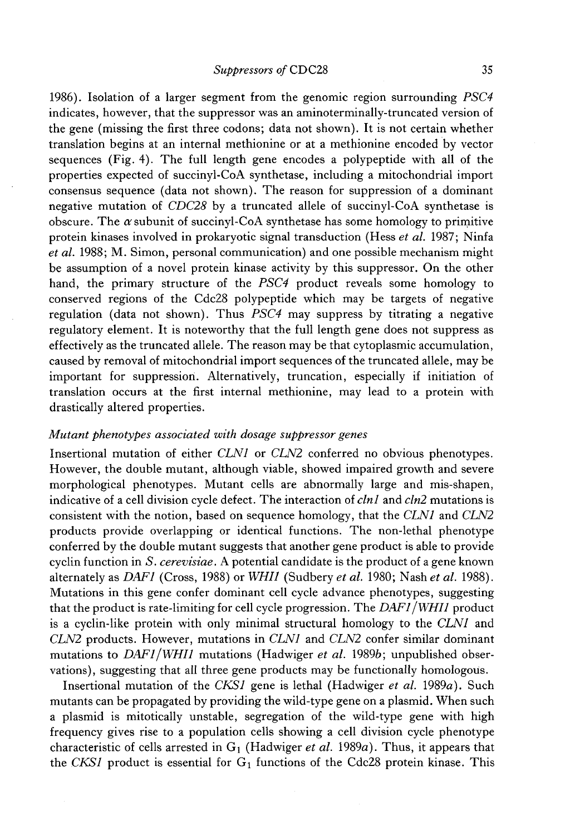1986). Isolation of a larger segment from the genomic region surrounding *PSC4* indicates, however, that the suppressor was an aminoterminally-truncated version of the gene (missing the first three codons; data not shown). It is not certain whether translation begins at an internal methionine or at a methionine encoded by vector sequences (Fig. 4). The full length gene encodes a polypeptide with all of the properties expected of succinyl-CoA synthetase, including a mitochondrial import consensus sequence (data not shown). The reason for suppression of a dominant negative mutation of *CDC28* by a truncated allele of succinyl-CoA synthetase is obscure. The  $\alpha$  subunit of succinyl-CoA synthetase has some homology to primitive protein kinases involved in prokaryotic signal transduction (Hess *et al.* 1987; Ninfa *et al.* 1988; M. Simon, personal communication) and one possible mechanism might be assumption of a novel protein kinase activity by this suppressor. On the other hand, the primary structure of the *PSC4* product reveals some homology to conserved regions of the Cdc28 polypeptide which may be targets of negative regulation (data not shown). Thus *PSC4* may suppress by titrating a negative regulatory element. It is noteworthy that the full length gene does not suppress as effectively as the truncated allele. The reason may be that cytoplasmic accumulation, caused by removal of mitochondrial import sequences of the truncated allele, may be important for suppression. Alternatively, truncation, especially if initiation of translation occurs at the first internal methionine, may lead to a protein with drastically altered properties.

# *Mutant phenotypes associated with dosage suppressor genes*

Insertional mutation of either *CLN1* or *CLN2* conferred no obvious phenotypes. However, the double mutant, although viable, showed impaired growth and severe morphological phenotypes. Mutant cells are abnormally large and mis-shapen, indicative of a cell division cycle defect. The interaction of *clnl* and *cln2* mutations is consistent with the notion, based on sequence homology, that the *CLN1* and *CLN2* products provide overlapping or identical functions. The non-lethal phenotype conferred by the double mutant suggests that another gene product is able to provide cyclin function in *S. cerevisiae.* A potential candidate is the product of a gene known alternately as *DAF1* (Cross, 1988) or *WHI1* (Sudbery *et al.* 1980; Nash *et al.* 1988). Mutations in this gene confer dominant cell cycle advance phenotypes, suggesting that the product is rate-limiting for cell cycle progression. The *DAF1 /WHI1* product is a cyclin-like protein with only minimal structural homology to the *CLN1* and *CLN2* products. However, mutations in *CLN1* and *CLN2* confer similar dominant mutations to *DAF1 /WHI1* mutations (Hadwiger *et al.* 19896; unpublished observations), suggesting that all three gene products may be functionally homologous.

Insertional mutation of the *CKS1* gene is lethal (Hadwiger *et al.* 1989a). Such mutants can be propagated by providing the wild-type gene on a plasmid. When such a plasmid is mitotically unstable, segregation of the wild-type gene with high frequency gives rise to a population cells showing a cell division cycle phenotype characteristic of cells arrested in  $G_1$  (Hadwiger *et al.* 1989*a*). Thus, it appears that the *CKS1* product is essential for  $G_1$  functions of the Cdc28 protein kinase. This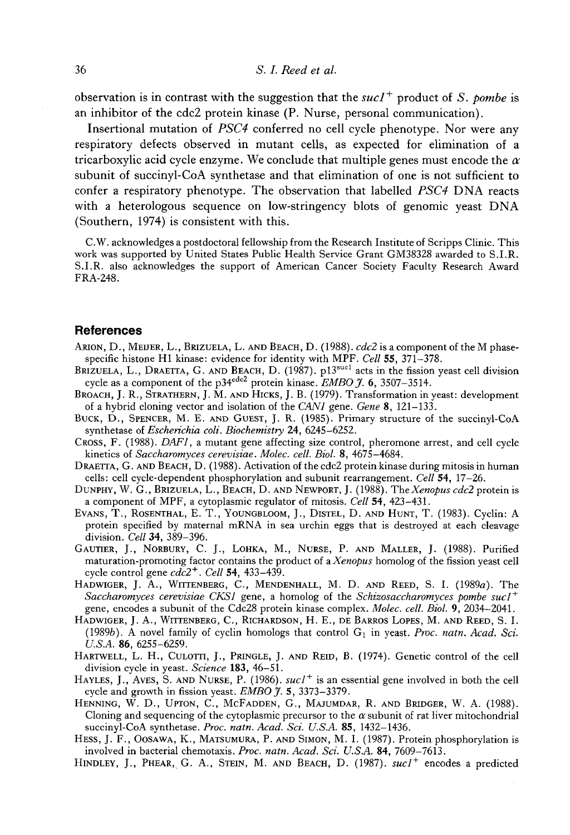observation is in contrast with the suggestion that the  $suc1^+$  product of S. *pombe* is an inhibitor of the cdc2 protein kinase (P. Nurse, personal communication).

Insertional mutation of *PSC4* conferred no cell cycle phenotype. Nor were any respiratory defects observed in mutant cells, as expected for elimination of a tricarboxylic acid cycle enzyme. We conclude that multiple genes must encode the  $\alpha$ subunit of succinyl-CoA synthetase and that elimination of one is not sufficient to confer a respiratory phenotype. The observation that labelled *PSC4* DNA reacts with a heterologous sequence on low-stringency blots of genomic yeast DNA (Southern, 1974) is consistent with this.

C.W. acknowledges a postdoctoral fellowship from the Research Institute of Scripps Clinic. This work was supported by United States Public Health Service Grant GM38328 awarded to S.I.R. S.I.R. also acknowledges the support of American Cancer Society Faculty Research Award FRA-248.

#### **References**

- ARION, D., MEUER, L., BRIZUELA, L. AND BEACH, D. (1988). *cdc2* is a component of the M phasespecific histone H1 kinase: evidence for identity with MPF. *Cell* 55, 371-378.
- BRIZUELA, L., DRAETTA, G. AND BEACH, D.  $(1987)$ . pl<sup>3sucl</sup> acts in the fission yeast cell division cycle as a component of the p34cdc2 protein kinase. *EMBO J.* 6, 3507-3514.
- BROACH, J. R., STRATHERN, J. M. AND HICKS, J. B. (1979). Transformation in yeast: development of a hybrid cloning vector and isolation of the *CAN1* gene. *Gene* 8, 121-133.
- BUCK, D., SPENCER, M. E. AND GUEST, J. R. (1985). Primary structure of the succinyl-CoA synthetase of *Escherichia coli. Biochemistry* 24, 6245-6252.
- CROSS, F. (1988). *DAF1*, a mutant gene affecting size control, pheromone arrest, and cell cycle kinetics of *Saccharomyces cerevisiae. Molec. cell. Biol.* 8, 4675-4684.
- DRAETTA, G. AND BEACH, D. (1988). Activation of the cdc2 protein kinase during mitosis in human cells: cell cycle-dependent phosphorylation and subunit rearrangement. *Cell* 54, 17-26.
- DUNPHY, W. G., BRIZUELA, L., BEACH, D. AND NEWPORT, J. (1988). The *Xenopus cdc2* protein is a component of MPF, a cytoplasmic regulator of mitosis. *Cell* 54, 423-431.
- EVANS, T., ROSENTHAL, E. T., YOUNGBLOOM, J., DISTEL, D. AND HUNT, T. (1983). Cyclin: A protein specified by maternal mRNA in sea urchin eggs that is destroyed at each cleavage division. *Cell* 34, 389-396.
- GAUTIER, J., NORBURY, C. J., LOHKA, M., NURSE, P. AND MALLER, J. (1988). Purified maturation-promoting factor contains the product of a *Xenopus* homolog of the fission yeast cell cycle control gene *cdc2+. Cell* 54, 433-439.
- HADWIGER, J. A., WITTENBERG, C., MENDENHALL, M. D. AND REED, S. I. (1989a). The *Saccharomyces cerevisiae CKS1* gene, a homolog of the *Schizosaccharomyces pombe sucl +* gene, encodes a subunit of the Cdc28 protein kinase complex. *Molec. cell. Biol.* 9, 2034-2041.
- HADWIGER, J. A., WITTENBERG, C., RICHARDSON, H. E., DE BARROS LOPES, M. AND REED, S. I. (1989b). A novel family of cyclin homologs that control  $G_1$  in yeast. *Proc. natn. Acad. Sci. U.S.A.* 86, 6255-6259.
- HARTWELL, L. H., CULOTTI, J., PRINGLE, J. AND REID, B. (1974). Genetic control of the cell division cycle in yeast. *Science* 183, 46-51.
- HAYLES, J., AVES, S. AND NURSE, P. (1986). *sucl<sup>+</sup>* is an essential gene involved in both the cell cycle and growth in fission yeast. *EMBO J.* 5, 3373-3379.
- HENNING, W. D., UPTON, C., MCFADDEN, G., MAJUMDAR, R. AND BRIDGER, W. A. (1988). Cloning and sequencing of the cytoplasmic precursor to the  $\alpha$  subunit of rat liver mitochondrial succinyl-CoA synthetase. *Proc. natn. Acad. Sci. U.S.A.* 85, 1432-1436.
- HESS, J. F., OOSAWA, K., MATSUMURA, P. AND SIMON, M. I. (1987). Protein phosphorylation is involved in bacterial chemotaxis. *Proc. natn. Acad. Sci. U.S.A.* 84, 7609-7613.
- HINDLEY, J., PHEAR, G. A., STEIN, M. AND BEACH, D. (1987). *sucl<sup>+</sup>* encodes a predicted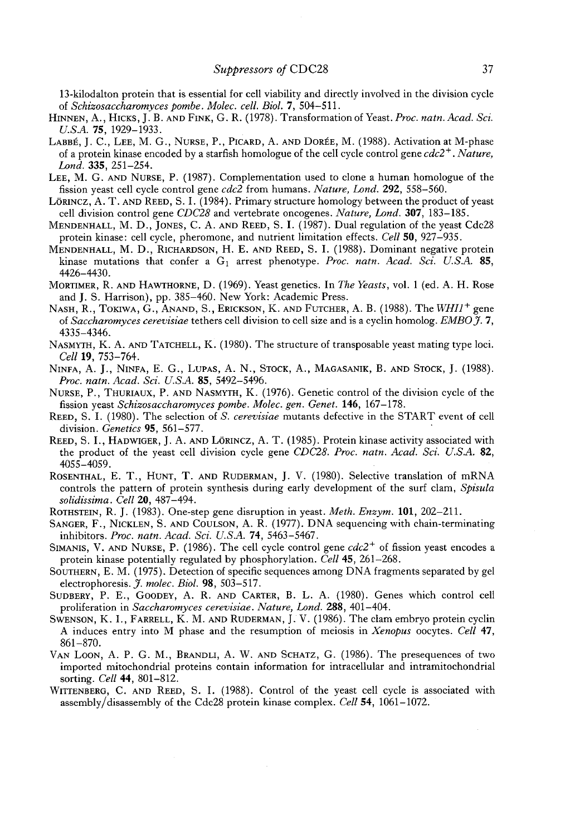13-kilodalton protein that is essential for cell viability and directly involved in the division cycle of *Schizosaccharomyces pombe. Molec. cell. Biol.* 7, 504-511.

- HINNEN, A., HICKS, J. B. AND FINK, G. R. (1978). Transformation of Yeast. *Proc. natn. Acad. Sci. U.SA.* 75, 1929-1933.
- LABBÉ, J. C., LEE, M. G., NURSE, P., PICARD, A. AND DORÉE, M. (1988). Activation at M-phase of a protein kinase encoded by a starfish homologue of the cell cycle control gene *cdc2 +. Nature, Land.* 335, 251-254.
- LEE, M. G. AND NURSE, P. (1987). Complementation used to clone a human homologue of the fission yeast cell cycle control gene *cdc2* from humans. *Nature, Lond.* 292, 558-560.
- LÖRINCZ, A. T. AND REED, S. I. (1984). Primary structure homology between the product of yeast cell division control gene *CDC28* and vertebrate oncogenes. *Nature, Lond.* 307, 183-185.
- MENDENHALL, M. D., JONES, C. A. AND REED, S. I. (1987). Dual regulation of the yeast Cdc28 protein kinase: cell cycle, pheromone, and nutrient limitation effects. *Cell* 50, 927-935.
- MENDENHALL, M. D., RICHARDSON, H. E. AND REED, S. I. (1988). Dominant negative protein kinase mutations that confer a G<sub>1</sub> arrest phenotype. Proc. natn. Acad. Sci. U.S.A. 85, 4426-4430.
- MORTIMER, R. AND HAWTHORNE, D. (1969). Yeast genetics. In *The Yeasts*, vol. 1 (ed. A. H. Rose and J. S. Harrison), pp. 385-460. New York: Academic Press.
- NASH, R., TOKIWA, G., ANAND, S., ERICKSON, K. AND FUTCHER, A. B. (1988). The *WHI1<sup>+</sup>* gene of *Saccharomyces cerevisiae* tethers cell division to cell size and is a cyclin homolog. *EMBOJ.* 7, 4335-4346.
- NASMYTH, K. A. AND TATCHELL, K. (1980). The structure of transposable yeast mating type loci. *Cell* 19, 753-764.
- NINFA, A. J., NINFA, E. G., LUPAS, A. N., STOCK, A., MAGASANIK, B. AND STOCK, J. (1988). *Proc. natn. Acad. Sci. U.S.A.* 85, 5492-5496.
- NURSE, P., THURIAUX, P. AND NASMYTH, K. (1976). Genetic control of the division cycle of the fission yeast *Schizosaccharomyces pombe. Molec. gen. Genet.* 146, 167-178.
- REED, S. I. (1980). The selection of S. *cerevisiae* mutants defective in the START event of cell division. *Genetics* 95, 561-577. '
- REED, S. I., HADWIGER, J. A. AND LÖRINCZ, A. T. (1985). Protein kinase activity associated with the product of the yeast cell division cycle gene *CDC28. Proc. natn. Acad. Sci. U.S.A.* 82, 4055-4059.
- ROSENTHAL, E. T., HUNT, T. AND RUDERMAN, J. V. (1980). Selective translation of mRNA controls the pattern of protein synthesis during early development of the surf clam, *Spisula solidissima. Cell* 20, 487-494.
- ROTHSTEIN, R. J. (1983). One-step gene disruption in yeast. *Meth. Enzym.* 101, 202-211.
- SANGER, F., NICKLEN, S. AND COULSON, A. R. (1977). DNA sequencing with chain-terminating inhibitors. *Proc. natn. Acad. Sci. U.S.A.* 74, 5463-5467.
- SIMANIS, V. AND NURSE, P. (1986). The cell cycle control gene  $cdc2^+$  of fission yeast encodes a protein kinase potentially regulated by phosphorylation. *Cell* 45, 261-268.
- SOUTHERN, E. M. (1975). Detection of specific sequences among DNA fragments separated by gel electrophoresis.  $J.$  molec. Biol. 98, 503-517.
- SUDBERY, P. E., GOODEY, A. R. AND CARTER, B. L. A. (1980). Genes which control cell proliferation in *Saccharomyces cerevisiae. Nature, Lond.* 288, 401-404.
- SWENSON, K. I., FARRELL, K. M. AND RUDERMAN, J. V. (1986). The clam embryo protein cyclin A induces entry into M phase and the resumption of meiosis in *Xenopus* oocytes. *Cell* 47, 861-870.
- VAN LOON, A. P. G. M., BRANDLI, A. W. AND SCHATZ, G. (1986). The presequences of two imported mitochondrial proteins contain information for intracellular and intramitochondrial sorting. *Cell* 44, 801-812.
- WITTENBERG, C. AND REED, S. I. (1988). Control of the yeast cell cycle is associated with assembly/disassembly of the Cdc28 protein kinase complex. *Cell* 54, 1061-1072.